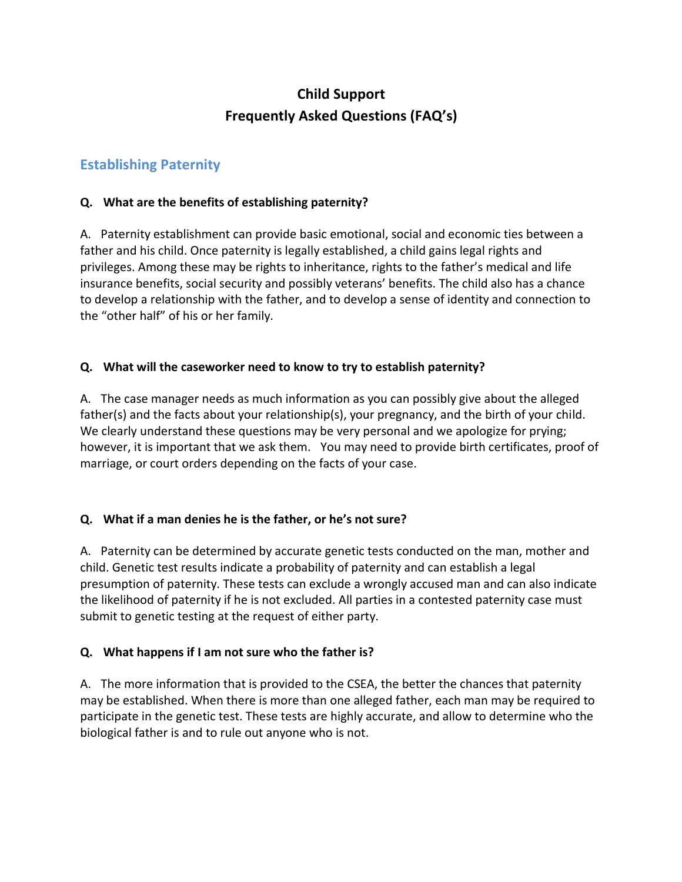# **Child Support Frequently Asked Questions (FAQ's)**

# **Establishing Paternity**

# **Q. What are the benefits of establishing paternity?**

A. Paternity establishment can provide basic emotional, social and economic ties between a father and his child. Once paternity is legally established, a child gains legal rights and privileges. Among these may be rights to inheritance, rights to the father's medical and life insurance benefits, social security and possibly veterans' benefits. The child also has a chance to develop a relationship with the father, and to develop a sense of identity and connection to the "other half" of his or her family.

# **Q. What will the caseworker need to know to try to establish paternity?**

A. The case manager needs as much information as you can possibly give about the alleged father(s) and the facts about your relationship(s), your pregnancy, and the birth of your child. We clearly understand these questions may be very personal and we apologize for prying; however, it is important that we ask them. You may need to provide birth certificates, proof of marriage, or court orders depending on the facts of your case.

# **Q. What if a man denies he is the father, or he's not sure?**

A. Paternity can be determined by accurate genetic tests conducted on the man, mother and child. Genetic test results indicate a probability of paternity and can establish a legal presumption of paternity. These tests can exclude a wrongly accused man and can also indicate the likelihood of paternity if he is not excluded. All parties in a contested paternity case must submit to genetic testing at the request of either party.

# **Q. What happens if I am not sure who the father is?**

A. The more information that is provided to the CSEA, the better the chances that paternity may be established. When there is more than one alleged father, each man may be required to participate in the genetic test. These tests are highly accurate, and allow to determine who the biological father is and to rule out anyone who is not.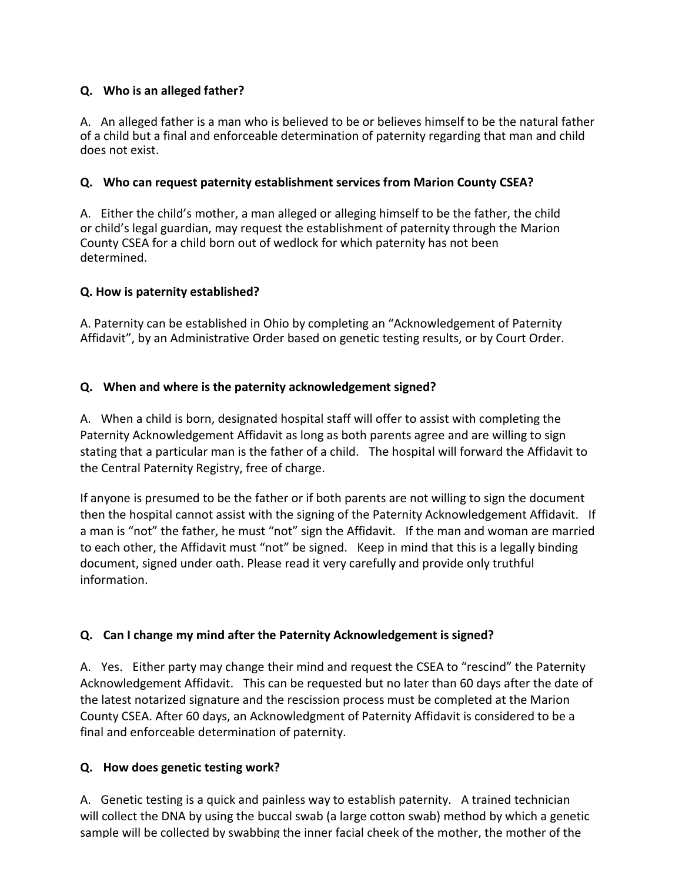# **Q. Who is an alleged father?**

A. An alleged father is a man who is believed to be or believes himself to be the natural father of a child but a final and enforceable determination of paternity regarding that man and child does not exist.

# **Q. Who can request paternity establishment services from Marion County CSEA?**

A. Either the child's mother, a man alleged or alleging himself to be the father, the child or child's legal guardian, may request the establishment of paternity through the Marion County CSEA for a child born out of wedlock for which paternity has not been determined.

# **Q. How is paternity established?**

A. Paternity can be established in Ohio by completing an "Acknowledgement of Paternity Affidavit", by an Administrative Order based on genetic testing results, or by Court Order.

# **Q. When and where is the paternity acknowledgement signed?**

A. When a child is born, designated hospital staff will offer to assist with completing the Paternity Acknowledgement Affidavit as long as both parents agree and are willing to sign stating that a particular man is the father of a child. The hospital will forward the Affidavit to the Central Paternity Registry, free of charge.

If anyone is presumed to be the father or if both parents are not willing to sign the document then the hospital cannot assist with the signing of the Paternity Acknowledgement Affidavit. If a man is "not" the father, he must "not" sign the Affidavit. If the man and woman are married to each other, the Affidavit must "not" be signed. Keep in mind that this is a legally binding document, signed under oath. Please read it very carefully and provide only truthful information.

# **Q. Can I change my mind after the Paternity Acknowledgement is signed?**

A. Yes. Either party may change their mind and request the CSEA to "rescind" the Paternity Acknowledgement Affidavit. This can be requested but no later than 60 days after the date of the latest notarized signature and the rescission process must be completed at the Marion County CSEA. After 60 days, an Acknowledgment of Paternity Affidavit is considered to be a final and enforceable determination of paternity.

# **Q. How does genetic testing work?**

A. Genetic testing is a quick and painless way to establish paternity. A trained technician will collect the DNA by using the buccal swab (a large cotton swab) method by which a genetic sample will be collected by swabbing the inner facial cheek of the mother, the mother of the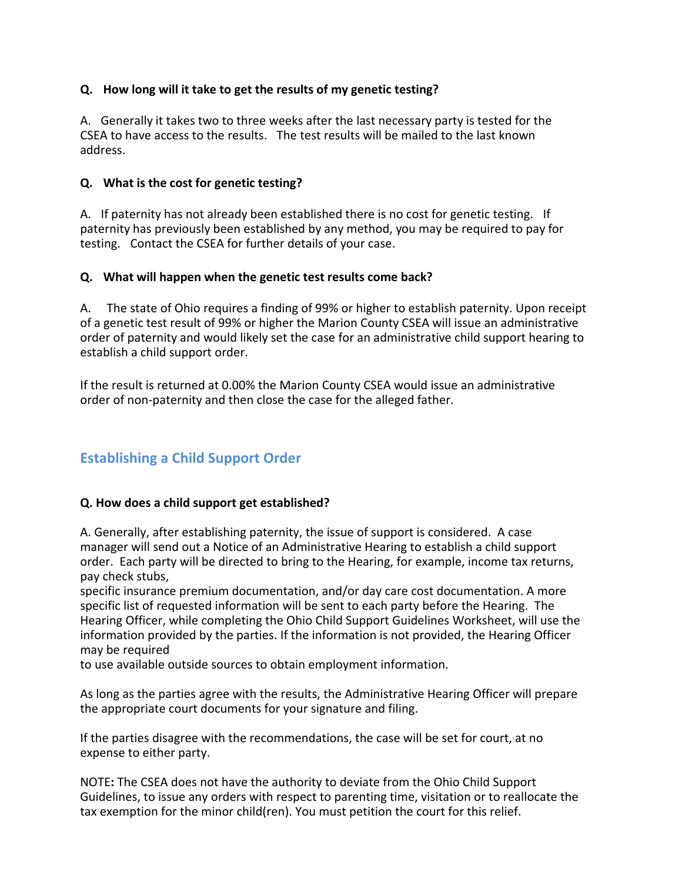# **Q. How long will it take to get the results of my genetic testing?**

A. Generally it takes two to three weeks after the last necessary party is tested for the CSEA to have access to the results. The test results will be mailed to the last known address.

# **Q. What is the cost for genetic testing?**

A. If paternity has not already been established there is no cost for genetic testing. If paternity has previously been established by any method, you may be required to pay for testing. Contact the CSEA for further details of your case.

# **Q. What will happen when the genetic test results come back?**

A. The state of Ohio requires a finding of 99% or higher to establish paternity. Upon receipt of a genetic test result of 99% or higher the Marion County CSEA will issue an administrative order of paternity and would likely set the case for an administrative child support hearing to establish a child support order.

If the result is returned at 0.00% the Marion County CSEA would issue an administrative order of non-paternity and then close the case for the alleged father.

# **Establishing a Child Support Order**

# **Q. How does a child support get established?**

A. Generally, after establishing paternity, the issue of support is considered. A case manager will send out a Notice of an Administrative Hearing to establish a child support order. Each party will be directed to bring to the Hearing, for example, income tax returns, pay check stubs,

specific insurance premium documentation, and/or day care cost documentation. A more specific list of requested information will be sent to each party before the Hearing. The Hearing Officer, while completing the Ohio Child Support Guidelines Worksheet, will use the information provided by the parties. If the information is not provided, the Hearing Officer may be required

to use available outside sources to obtain employment information.

As long as the parties agree with the results, the Administrative Hearing Officer will prepare the appropriate court documents for your signature and filing.

If the parties disagree with the recommendations, the case will be set for court, at no expense to either party.

NOTE: The CSEA does not have the authority to deviate from the Ohio Child Support Guidelines, to issue any orders with respect to parenting time, visitation or to reallocate the tax exemption for the minor child(ren). You must petition the court for this relief.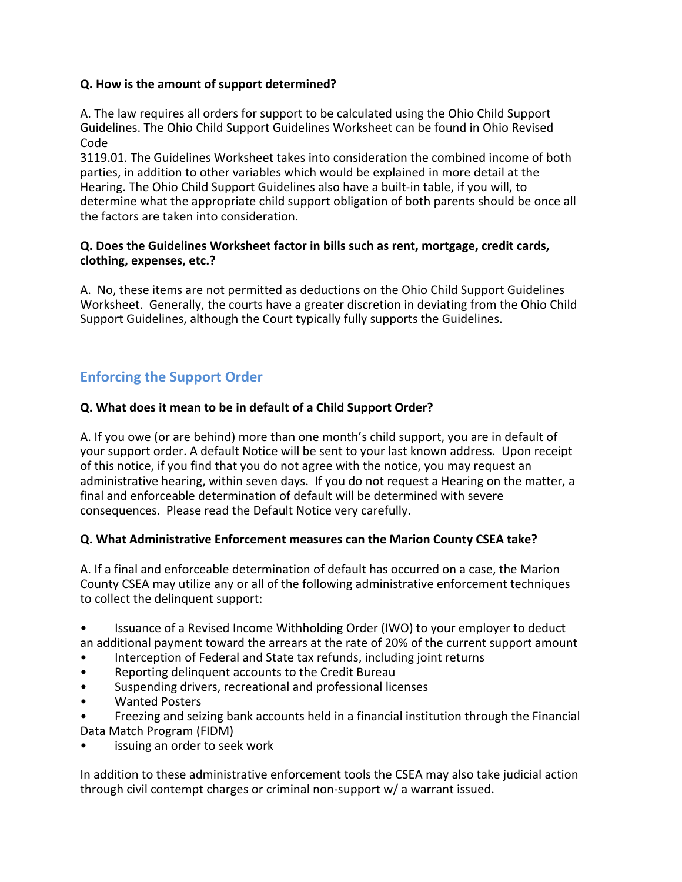#### **Q.** How is the amount of support determined?

A. The law requires all orders for support to be calculated using the Ohio Child Support Guidelines. The Ohio Child Support Guidelines Worksheet can be found in Ohio Revised Code

3119.01. The Guidelines Worksheet takes into consideration the combined income of both parties, in addition to other variables which would be explained in more detail at the Hearing. The Ohio Child Support Guidelines also have a built-in table, if you will, to determine what the appropriate child support obligation of both parents should be once all the factors are taken into consideration.

#### **Q.** Does the Guidelines Worksheet factor in bills such as rent, mortgage, credit cards, **clothing, expenses, etc.?**

A. No, these items are not permitted as deductions on the Ohio Child Support Guidelines Worksheet. Generally, the courts have a greater discretion in deviating from the Ohio Child Support Guidelines, although the Court typically fully supports the Guidelines.

# **Enforcing the Support Order**

# **Q. What does it mean to be in default of a Child Support Order?**

A. If you owe (or are behind) more than one month's child support, you are in default of your support order. A default Notice will be sent to your last known address. Upon receipt of this notice, if you find that you do not agree with the notice, you may request an administrative hearing, within seven days. If you do not request a Hearing on the matter, a final and enforceable determination of default will be determined with severe consequences. Please read the Default Notice very carefully.

# **Q. What Administrative Enforcement measures can the Marion County CSEA take?**

A. If a final and enforceable determination of default has occurred on a case, the Marion County CSEA may utilize any or all of the following administrative enforcement techniques to collect the delinguent support:

- Issuance of a Revised Income Withholding Order (IWO) to your employer to deduct an additional payment toward the arrears at the rate of 20% of the current support amount
- Interception of Federal and State tax refunds, including joint returns
- Reporting delinquent accounts to the Credit Bureau
- Suspending drivers, recreational and professional licenses
- Wanted Posters
- Freezing and seizing bank accounts held in a financial institution through the Financial Data Match Program (FIDM)
- issuing an order to seek work

In addition to these administrative enforcement tools the CSEA may also take judicial action through civil contempt charges or criminal non-support w/ a warrant issued.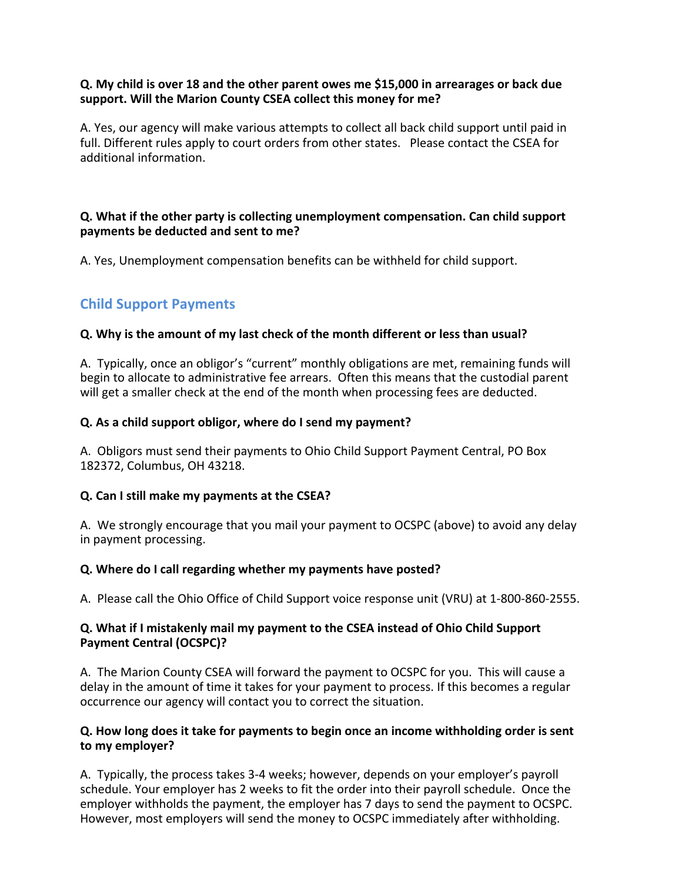#### **Q.** My child is over 18 and the other parent owes me \$15,000 in arrearages or back due support. Will the Marion County CSEA collect this money for me?

A. Yes, our agency will make various attempts to collect all back child support until paid in full. Different rules apply to court orders from other states. Please contact the CSEA for additional information.

#### **Q.** What if the other party is collecting unemployment compensation. Can child support **payments be deducted and sent to me?**

A. Yes, Unemployment compensation benefits can be withheld for child support.

# **Child Support Payments**

#### **Q.** Why is the amount of my last check of the month different or less than usual?

A. Typically, once an obligor's "current" monthly obligations are met, remaining funds will begin to allocate to administrative fee arrears. Often this means that the custodial parent will get a smaller check at the end of the month when processing fees are deducted.

#### **Q.** As a child support obligor, where do I send my payment?

A. Obligors must send their payments to Ohio Child Support Payment Central, PO Box 182372, Columbus, OH 43218.

#### **Q.** Can I still make my payments at the CSEA?

A. We strongly encourage that you mail your payment to OCSPC (above) to avoid any delay in payment processing.

#### **Q.** Where do I call regarding whether my payments have posted?

A. Please call the Ohio Office of Child Support voice response unit (VRU) at 1-800-860-2555.

#### **Q.** What if I mistakenly mail my payment to the CSEA instead of Ohio Child Support **Payment Central (OCSPC)?**

A. The Marion County CSEA will forward the payment to OCSPC for you. This will cause a delay in the amount of time it takes for your payment to process. If this becomes a regular occurrence our agency will contact you to correct the situation.

#### **Q.** How long does it take for payments to begin once an income withholding order is sent **to my employer?**

A. Typically, the process takes 3-4 weeks; however, depends on your employer's payroll schedule. Your employer has 2 weeks to fit the order into their payroll schedule. Once the employer withholds the payment, the employer has 7 days to send the payment to OCSPC. However, most employers will send the money to OCSPC immediately after withholding.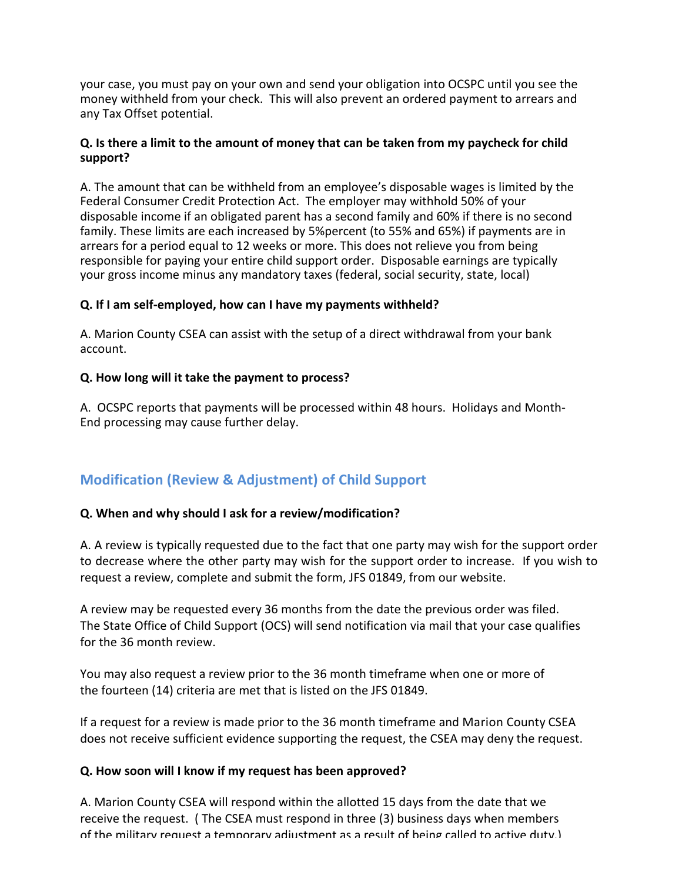your case, you must pay on your own and send your obligation into OCSPC until you see the money withheld from your check. This will also prevent an ordered payment to arrears and any Tax Offset potential.

#### **Q.** Is there a limit to the amount of money that can be taken from my paycheck for child **support?**

A. The amount that can be withheld from an employee's disposable wages is limited by the Federal Consumer Credit Protection Act. The employer may withhold 50% of your disposable income if an obligated parent has a second family and 60% if there is no second family. These limits are each increased by 5%percent (to 55% and 65%) if payments are in arrears for a period equal to 12 weeks or more. This does not relieve you from being responsible for paying your entire child support order. Disposable earnings are typically your gross income minus any mandatory taxes (federal, social security, state, local)

#### **Q.** If I am self-employed, how can I have my payments withheld?

A. Marion County CSEA can assist with the setup of a direct withdrawal from your bank account.

#### **Q.** How long will it take the payment to process?

A. OCSPC reports that payments will be processed within 48 hours. Holidays and Month-End processing may cause further delay.

# **Modification (Review & Adjustment) of Child Support**

#### **Q. When and why should I ask for a review/modification?**

A. A review is typically requested due to the fact that one party may wish for the support order to decrease where the other party may wish for the support order to increase. If you wish to request a review, complete and submit the form, JFS 01849, from our website.

A review may be requested every 36 months from the date the previous order was filed. The State Office of Child Support (OCS) will send notification via mail that your case qualifies for the 36 month review.

You may also request a review prior to the 36 month timeframe when one or more of the fourteen (14) criteria are met that is listed on the JFS 01849.

If a request for a review is made prior to the 36 month timeframe and Marion County CSEA does not receive sufficient evidence supporting the request, the CSEA may deny the request.

# **Q. How soon will I know if my request has been approved?**

A. Marion County CSEA will respond within the allotted 15 days from the date that we receive the request. (The CSEA must respond in three (3) business days when members of the military request a temporary adjustment as a result of being called to active duty.)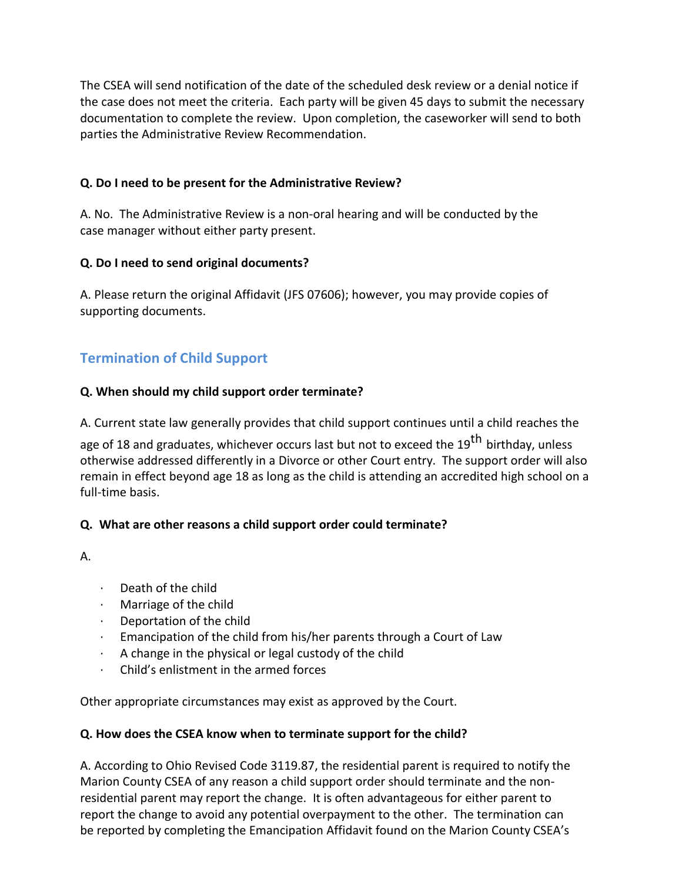The CSEA will send notification of the date of the scheduled desk review or a denial notice if the case does not meet the criteria. Each party will be given 45 days to submit the necessary documentation to complete the review. Upon completion, the caseworker will send to both parties the Administrative Review Recommendation.

### **Q. Do I need to be present for the Administrative Review?**

A. No. The Administrative Review is a non-oral hearing and will be conducted by the case manager without either party present.

#### **Q. Do I need to send original documents?**

A. Please return the original Affidavit (JFS 07606); however, you may provide copies of supporting documents.

# **Termination of Child Support**

#### **Q. When should my child support order terminate?**

A. Current state law generally provides that child support continues until a child reaches the

age of 18 and graduates, whichever occurs last but not to exceed the 19<sup>th</sup> birthday, unless otherwise addressed differently in a Divorce or other Court entry. The support order will also remain in effect beyond age 18 as long as the child is attending an accredited high school on a full-time basis.

#### **Q. What are other reasons a child support order could terminate?**

A.

- $\cdot$  Death of the child
- $\cdot$  Marriage of the child
- $\cdot$  Deportation of the child
- $\cdot$  Emancipation of the child from his/her parents through a Court of Law
- $\cdot$  A change in the physical or legal custody of the child
- Child's enlistment in the armed forces

Other appropriate circumstances may exist as approved by the Court.

# **Q. How does the CSEA know when to terminate support for the child?**

A. According to Ohio Revised Code 3119.87, the residential parent is required to notify the Marion County CSEA of any reason a child support order should terminate and the nonresidential parent may report the change. It is often advantageous for either parent to report the change to avoid any potential overpayment to the other. The termination can be reported by completing the Emancipation Affidavit found on the Marion County CSEA's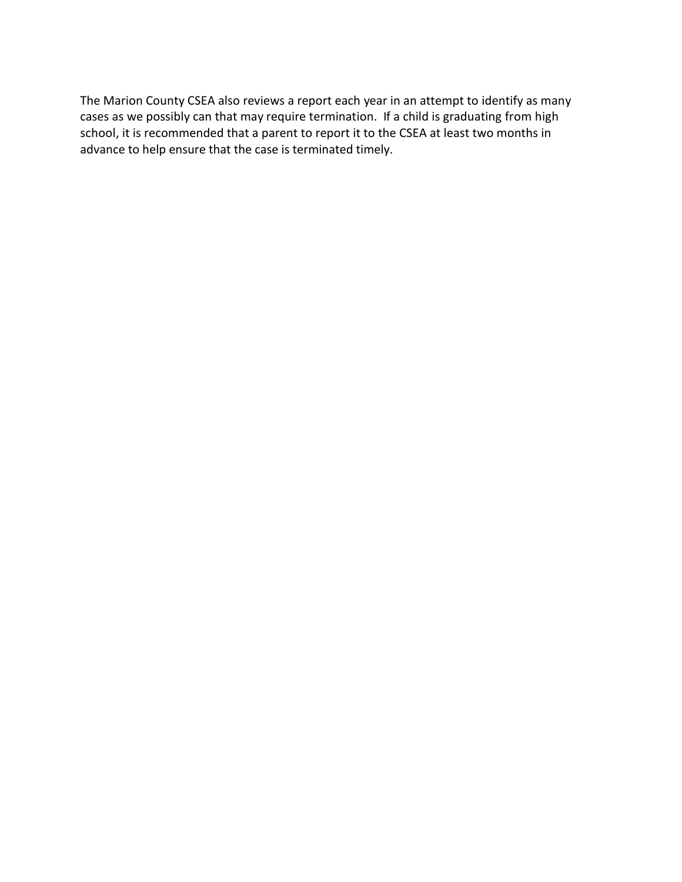The Marion County CSEA also reviews a report each year in an attempt to identify as many cases as we possibly can that may require termination. If a child is graduating from high school, it is recommended that a parent to report it to the CSEA at least two months in advance to help ensure that the case is terminated timely.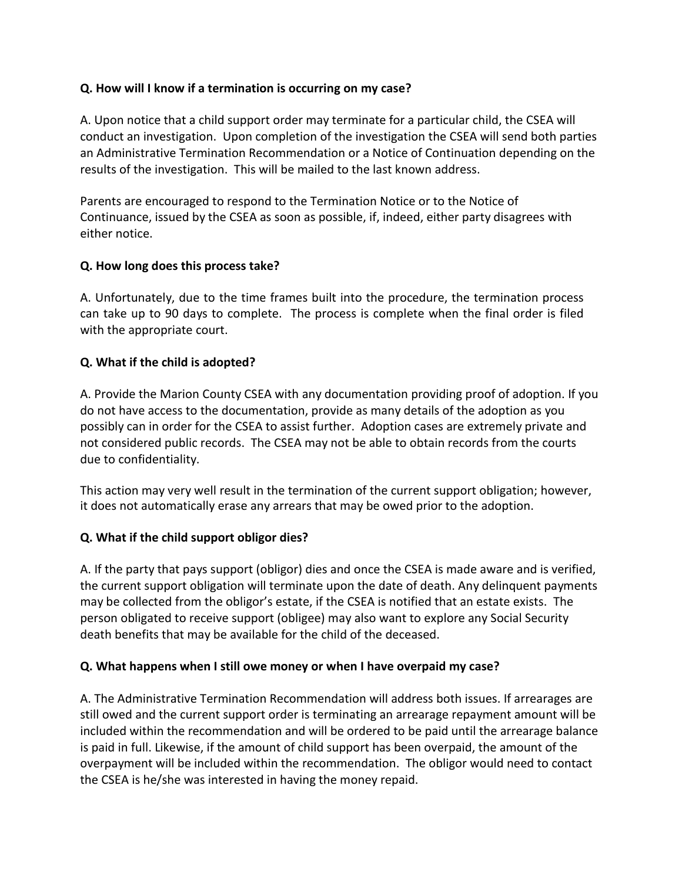### **Q. How will I know if a termination is occurring on my case?**

A. Upon notice that a child support order may terminate for a particular child, the CSEA will conduct an investigation. Upon completion of the investigation the CSEA will send both parties an Administrative Termination Recommendation or a Notice of Continuation depending on the results of the investigation. This will be mailed to the last known address.

Parents are encouraged to respond to the Termination Notice or to the Notice of Continuance, issued by the CSEA as soon as possible, if, indeed, either party disagrees with either notice.

#### **Q. How long does this process take?**

A. Unfortunately, due to the time frames built into the procedure, the termination process can take up to 90 days to complete. The process is complete when the final order is filed with the appropriate court.

#### **Q. What if the child is adopted?**

A. Provide the Marion County CSEA with any documentation providing proof of adoption. If you do not have access to the documentation, provide as many details of the adoption as you possibly can in order for the CSEA to assist further. Adoption cases are extremely private and not considered public records. The CSEA may not be able to obtain records from the courts due to confidentiality.

This action may very well result in the termination of the current support obligation; however, it does not automatically erase any arrears that may be owed prior to the adoption.

# **Q. What if the child support obligor dies?**

A. If the party that pays support (obligor) dies and once the CSEA is made aware and is verified, the current support obligation will terminate upon the date of death. Any delinquent payments may be collected from the obligor's estate, if the CSEA is notified that an estate exists. The person obligated to receive support (obligee) may also want to explore any Social Security death benefits that may be available for the child of the deceased.

#### **Q. What happens when I still owe money or when I have overpaid my case?**

A. The Administrative Termination Recommendation will address both issues. If arrearages are still owed and the current support order is terminating an arrearage repayment amount will be included within the recommendation and will be ordered to be paid until the arrearage balance is paid in full. Likewise, if the amount of child support has been overpaid, the amount of the overpayment will be included within the recommendation. The obligor would need to contact the CSEA is he/she was interested in having the money repaid.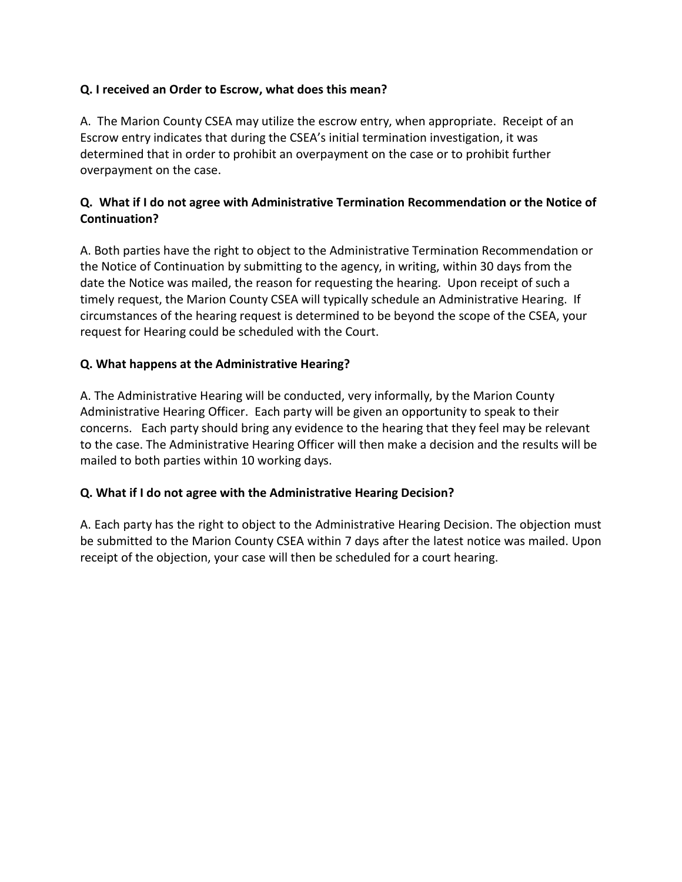# **Q. I received an Order to Escrow, what does this mean?**

A. The Marion County CSEA may utilize the escrow entry, when appropriate. Receipt of an Escrow entry indicates that during the CSEA's initial termination investigation, it was determined that in order to prohibit an overpayment on the case or to prohibit further overpayment on the case.

# **Q. What if I do not agree with Administrative Termination Recommendation or the Notice of Continuation?**

A. Both parties have the right to object to the Administrative Termination Recommendation or the Notice of Continuation by submitting to the agency, in writing, within 30 days from the date the Notice was mailed, the reason for requesting the hearing. Upon receipt of such a timely request, the Marion County CSEA will typically schedule an Administrative Hearing. If circumstances of the hearing request is determined to be beyond the scope of the CSEA, your request for Hearing could be scheduled with the Court.

# **Q. What happens at the Administrative Hearing?**

A. The Administrative Hearing will be conducted, very informally, by the Marion County Administrative Hearing Officer. Each party will be given an opportunity to speak to their concerns. Each party should bring any evidence to the hearing that they feel may be relevant to the case. The Administrative Hearing Officer will then make a decision and the results will be mailed to both parties within 10 working days.

# **Q. What if I do not agree with the Administrative Hearing Decision?**

A. Each party has the right to object to the Administrative Hearing Decision. The objection must be submitted to the Marion County CSEA within 7 days after the latest notice was mailed. Upon receipt of the objection, your case will then be scheduled for a court hearing.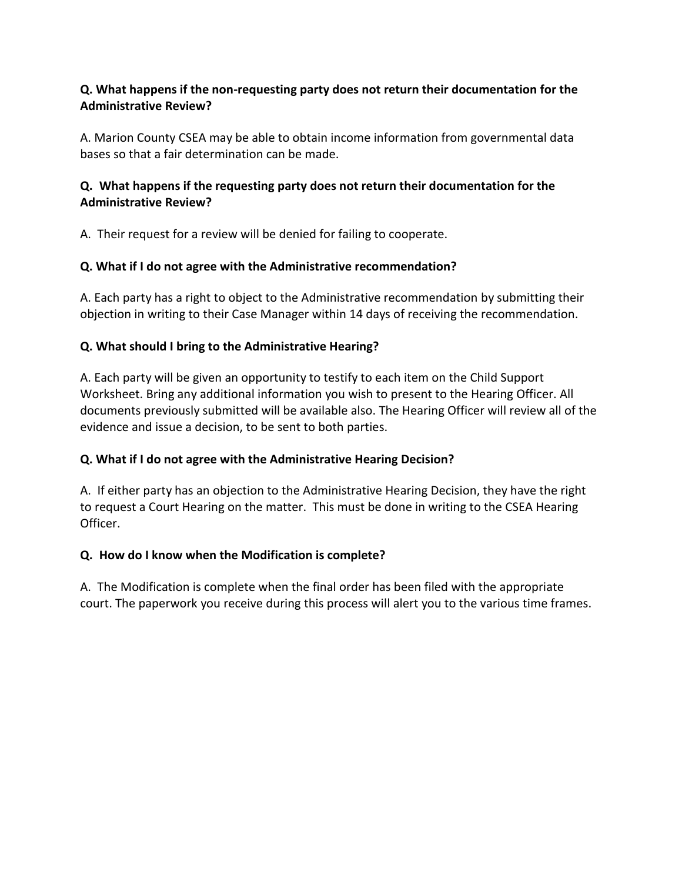# **Q. What happens if the non-requesting party does not return their documentation for the Administrative Review?**

A. Marion County CSEA may be able to obtain income information from governmental data bases so that a fair determination can be made.

# **Q. What happens if the requesting party does not return their documentation for the Administrative Review?**

A. Their request for a review will be denied for failing to cooperate.

# **Q. What if I do not agree with the Administrative recommendation?**

A. Each party has a right to object to the Administrative recommendation by submitting their objection in writing to their Case Manager within 14 days of receiving the recommendation.

# **Q. What should I bring to the Administrative Hearing?**

A. Each party will be given an opportunity to testify to each item on the Child Support Worksheet. Bring any additional information you wish to present to the Hearing Officer. All documents previously submitted will be available also. The Hearing Officer will review all of the evidence and issue a decision, to be sent to both parties.

# **Q. What if I do not agree with the Administrative Hearing Decision?**

A. If either party has an objection to the Administrative Hearing Decision, they have the right to request a Court Hearing on the matter. This must be done in writing to the CSEA Hearing Officer.

# **Q. How do I know when the Modification is complete?**

A. The Modification is complete when the final order has been filed with the appropriate court. The paperwork you receive during this process will alert you to the various time frames.